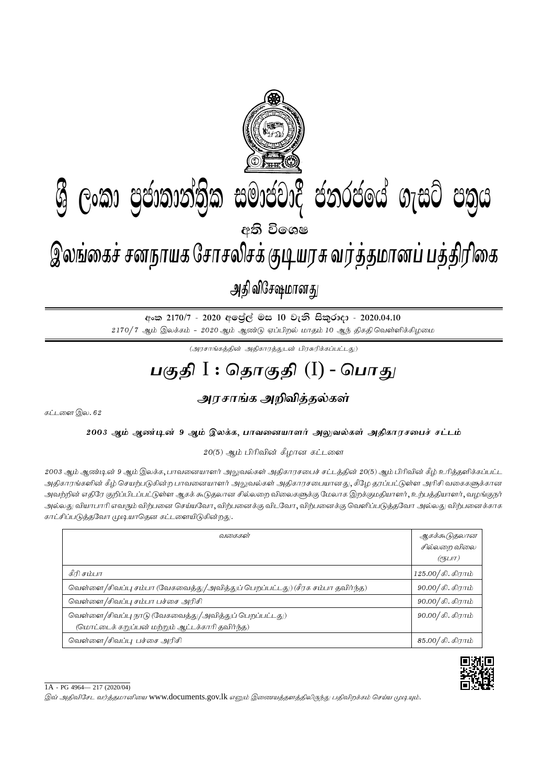

අංක 2170/7 - 2020 අලේල් මස 10 වැනි සිකුරාදා - 2020.04.10  $2170/7$  ஆம் இலக்கம் -  $2020$  ஆம் ஆண்டு ஏப்பிறல் மாதம் 10 ஆந் திகதி வெள்ளிக்கிழமை

 $(\mathcal{A}$ ரசாங்கத்தின் அதிகாரத்துடன் பிரசுரிக்கப்பட்டது)

## <u>பகுதி</u> I : தொகுதி (I) - பொது

## <u>அரசாங்க அறிவித்த</u>ல்கள்

கட்டளை இல.  $62$ 

2003 ஆம் ஆண்டின் 9 ஆம் இலக்க, பாவனையாளர் அலுவல்கள் அதிகாரசபைச் சட்டம்

 $20(5)$  ஆம் பிரிவின் கீழான கட்டளை

2003 ஆம் ஆண்டின் 9 ஆம் இலக்க, பாவனையாளர் அலுவல்கள் அதிகாரசபைச் சட்டத்தின் 20(5) ஆம் பிரிவின் கீழ் உரித்தளிக்கப்பட்ட அதிகாரங்களின் கீழ் செயற்படுகின்ற பாவனையாளர் அலுவல்கள் அதிகாரசபையானது, கீழே தரப்பட்டுள்ள அரிசி வகைகளுக்கான அவற்றின் எதிரே குறிப்பிடப்பட்டுள்ள ஆகக் கூடுதலான சில்லறை விலைகளுக்கு மேலாக இறக்குமதியாளர், உற்பத்தியாளர், வழங்குநர் அல்லது வியாபாரி எவரும் விற்பனை செய்யவோ, விற்பனைக்கு விடவோ, விற்பனைக்கு வெளிப்படுத்தவோ அல்லது விற்பனைக்காக காட்சிப்படுத்தவோ முடியாதென கட்டளையிடுகின்றது.

| வகைகள்                                                                                                   | ஆகக்கூடுதலான<br>சில்லறை விலை<br>(?5LIT) |
|----------------------------------------------------------------------------------------------------------|-----------------------------------------|
| கீரி சம்பா                                                                                               | 125.00/கி. கிராம்                       |
| வெள்ளை/சிவப்பு சம்பா (வேகவைத்து/அவித்துப் பெறப்பட்டது) (சீரக சம்பா தவிர்ந்த)                             | $90.00 /$ கி. கிராம்                    |
| வெள்ளை /சிவப்பு சம்பா பச்சை அரிசி                                                                        | $90.00 /$ கி. கிராம்                    |
| வெள்ளை/சிவப்பு நாடு (வேகவைத்து/அவித்துப் பெறப்பட்டது)<br>(மொட்டைக் கறுப்பன் மற்றும் ஆட்டக்காரி தவிர்ந்த) | 90.00/கி. கிராம்                        |
| வெள்ளை/சிவப்பு பச்சை அரிசி                                                                               | $85.00 /$ கி. கிராம்                    |



1A - PG 4964— 217 (2020/04)

இவ் அதிவிசேட வர்த்தமானியை www.documents.gov.lk எனும் இணையத்தளத்திலிருந்து பதிவிறக்கம் செய்ய முடியும்.